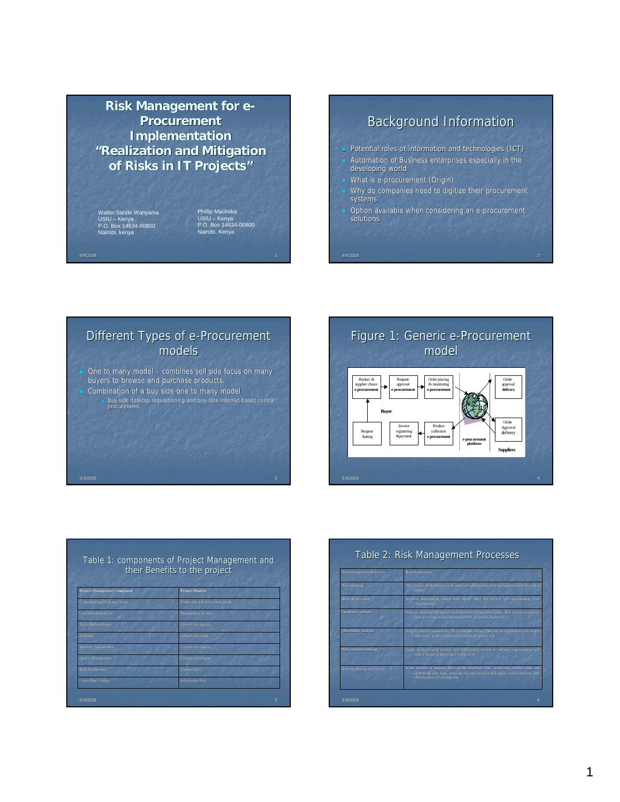## **Risk Management for e-Procurement Procurement Implementation "Realization and Mitigation Realization and Mitigation of Risks in IT Projects of Risks in IT Projects"**

Walter Sande Wanyama USIU – Kenya P.O. Box 14634-00800 Nairobi, kenya

Phillip Machoka USIU – Kenya P.O. Box 14634-00800 Nairobi, Kenya

## **Background Information**

- Potential roles of information and technologies (ICT) Automation of Business enterprises especially in the developing world
- What is e-procurement (Origin)
- Why do companies need to digitize their procurement systems
- Option available when considering an e-procurement solutions

9/9/2008 2

## Different Types of e-Procurement models

- $\blacksquare$  One to many model combines sell side focus on many buyers to browse and purchase products.
- Combination of a buy side one to many model **Buy-side desktop requisitioning and buy-side internet-based central procurement.**



| their Benefits to the project       |                                     |  |  |
|-------------------------------------|-------------------------------------|--|--|
| <b>Project Management Component</b> | <b>Project Benefits</b>             |  |  |
| Understanding the project scope     | Predictable and deliverable results |  |  |
| <b>Cost/Benefit Analysis</b>        | Management of risks                 |  |  |
| Tools/Methodologies                 | Control over quality                |  |  |
| Planning                            | Control over costs.                 |  |  |
| <b>Resource Management</b>          | Control over timing                 |  |  |
| Quality Management                  | Control over change                 |  |  |
| <b>Risk Management</b>              | Transparency                        |  |  |
| <b>Controlling Change</b>           | Information flow                    |  |  |

| <b>Risk Management Processes</b> | <b>Brief Explanation</b><br>The process of deciding how to approach and plan the risk management activities for a<br>project                                                                                   |  |  |  |
|----------------------------------|----------------------------------------------------------------------------------------------------------------------------------------------------------------------------------------------------------------|--|--|--|
| Risk planning                    |                                                                                                                                                                                                                |  |  |  |
| <b>Risk</b> identification       | Involves determining which risks might affect the project and documenting their<br>characteristics                                                                                                             |  |  |  |
| Qualitative analysis             | Aims at assessing the impact and likelihood of identified risks. This process prioritizes<br>risks according to their potential effect on project objectives.                                                  |  |  |  |
| Quantitative analysis            | Aims to analyze numerically the probability of each risk and its consequence on project<br>objectives, as well as the extent of overall project risk                                                           |  |  |  |
| Risk response planning           | Leads to developing options and determining actions to enhance opportunities and<br>reduce threats to the project's objectives                                                                                 |  |  |  |
| Risk monitoring and control      | Is the process of keeping track of the identified risks, monitoring residual risks and<br>identifying new risks, ensuring the execution of risk plans, and evaluating their<br>effectiveness in reducing risk. |  |  |  |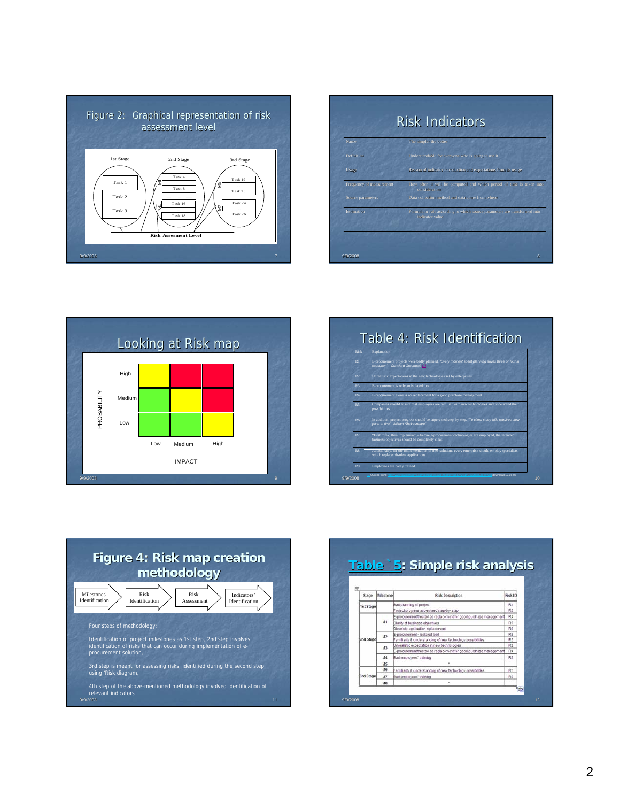

| Name                            | The simpler the better                                                                       |
|---------------------------------|----------------------------------------------------------------------------------------------|
| Definition                      | Understandable for everyone who is going to use it                                           |
| Usage                           | Reason of indicator introduction and expectations from its usage                             |
| <b>Frequency of measurement</b> | How often it will be computed and which period of time is taken into<br>consideration        |
| Source parameters               | Data collection method and data come from where                                              |
| Estimation                      | Formula or rule according to which source parameters are transformed into<br>indicator value |







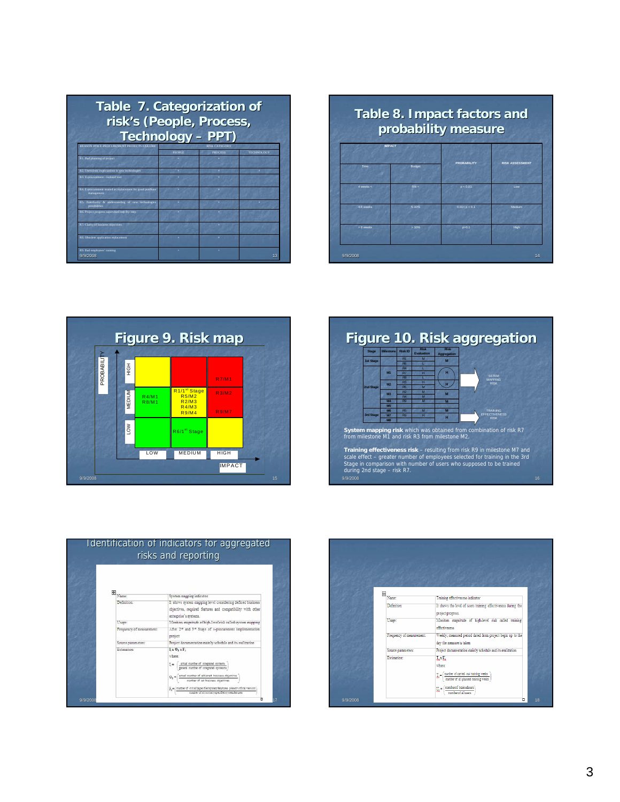| <b>Table 7. Categorization of</b><br>risk's (People, Process,<br><b>Technology - PPT)</b> |               |                      |                   |  |
|-------------------------------------------------------------------------------------------|---------------|----------------------|-------------------|--|
| REASON FOR E-PROCUREMENT PROJECTS FAILURE                                                 | <b>PEOPLE</b> | <b>RISK CATEGORY</b> |                   |  |
| R1. Bad planning of project                                                               |               | <b>PROCESS</b>       | <b>TECHNOLOGY</b> |  |
| R2. Unrealistic expectations in new technologies                                          |               |                      |                   |  |
| R3. E-procurement - isolated tool                                                         |               |                      |                   |  |
| R4. E-procurement treated as replacement for good purchase<br>management                  |               |                      |                   |  |
| Familiarity & understanding of new technologies<br>RS.<br>possibilities                   |               |                      |                   |  |
| R6. Project progress supervised step-by- step                                             |               |                      |                   |  |
| R7. Clarity of business objectives                                                        |               |                      |                   |  |
| R8. Obsolete application replacement                                                      |               |                      |                   |  |
| R9. Bad employees' training<br>9/9/2008                                                   |               |                      | 13                |  |

| probability measure |         |                    |                        |  |  |
|---------------------|---------|--------------------|------------------------|--|--|
| <b>IMPACT</b>       |         |                    |                        |  |  |
| Time                | Budget  | <b>PROBABILITY</b> | <b>RISK ASSESSMENT</b> |  |  |
| 4 weeks $<$         | $5\% <$ | p < 0.01           | I ow                   |  |  |
| 4-8 weeks           | 5-10%   | 0.01 < p < 0.1     | Medium                 |  |  |
| > R weeks           | > 10%   | p > 0.1            | High                   |  |  |